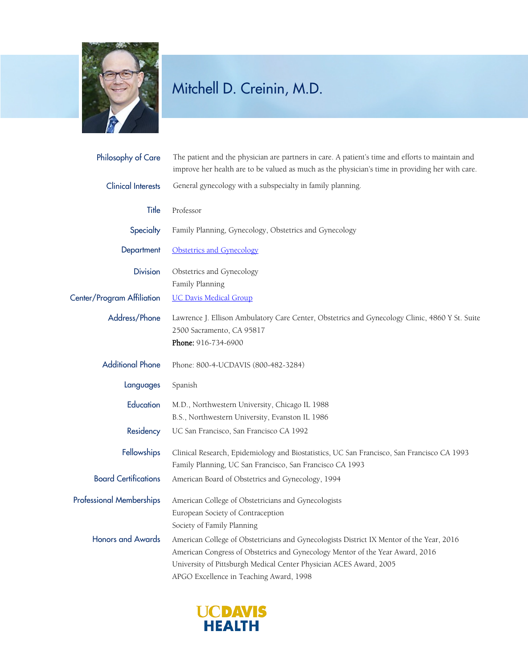

## Mitchell D. Creinin, M.D.

| Philosophy of Care              | The patient and the physician are partners in care. A patient's time and efforts to maintain and<br>improve her health are to be valued as much as the physician's time in providing her with care.                                                                                        |
|---------------------------------|--------------------------------------------------------------------------------------------------------------------------------------------------------------------------------------------------------------------------------------------------------------------------------------------|
| <b>Clinical Interests</b>       | General gynecology with a subspecialty in family planning.                                                                                                                                                                                                                                 |
| Title                           | Professor                                                                                                                                                                                                                                                                                  |
| Specialty                       | Family Planning, Gynecology, Obstetrics and Gynecology                                                                                                                                                                                                                                     |
| Department                      | Obstetrics and Gynecology                                                                                                                                                                                                                                                                  |
| <b>Division</b>                 | Obstetrics and Gynecology<br>Family Planning                                                                                                                                                                                                                                               |
| Center/Program Affiliation      | <b>UC Davis Medical Group</b>                                                                                                                                                                                                                                                              |
| Address/Phone                   | Lawrence J. Ellison Ambulatory Care Center, Obstetrics and Gynecology Clinic, 4860 Y St. Suite<br>2500 Sacramento, CA 95817<br>Phone: 916-734-6900                                                                                                                                         |
| <b>Additional Phone</b>         | Phone: 800-4-UCDAVIS (800-482-3284)                                                                                                                                                                                                                                                        |
| Languages                       | Spanish                                                                                                                                                                                                                                                                                    |
| Education                       | M.D., Northwestern University, Chicago IL 1988<br>B.S., Northwestern University, Evanston IL 1986                                                                                                                                                                                          |
| Residency                       | UC San Francisco, San Francisco CA 1992                                                                                                                                                                                                                                                    |
| Fellowships                     | Clinical Research, Epidemiology and Biostatistics, UC San Francisco, San Francisco CA 1993<br>Family Planning, UC San Francisco, San Francisco CA 1993                                                                                                                                     |
| <b>Board Certifications</b>     | American Board of Obstetrics and Gynecology, 1994                                                                                                                                                                                                                                          |
| <b>Professional Memberships</b> | American College of Obstetricians and Gynecologists<br>European Society of Contraception<br>Society of Family Planning                                                                                                                                                                     |
| <b>Honors and Awards</b>        | American College of Obstetricians and Gynecologists District IX Mentor of the Year, 2016<br>American Congress of Obstetrics and Gynecology Mentor of the Year Award, 2016<br>University of Pittsburgh Medical Center Physician ACES Award, 2005<br>APGO Excellence in Teaching Award, 1998 |